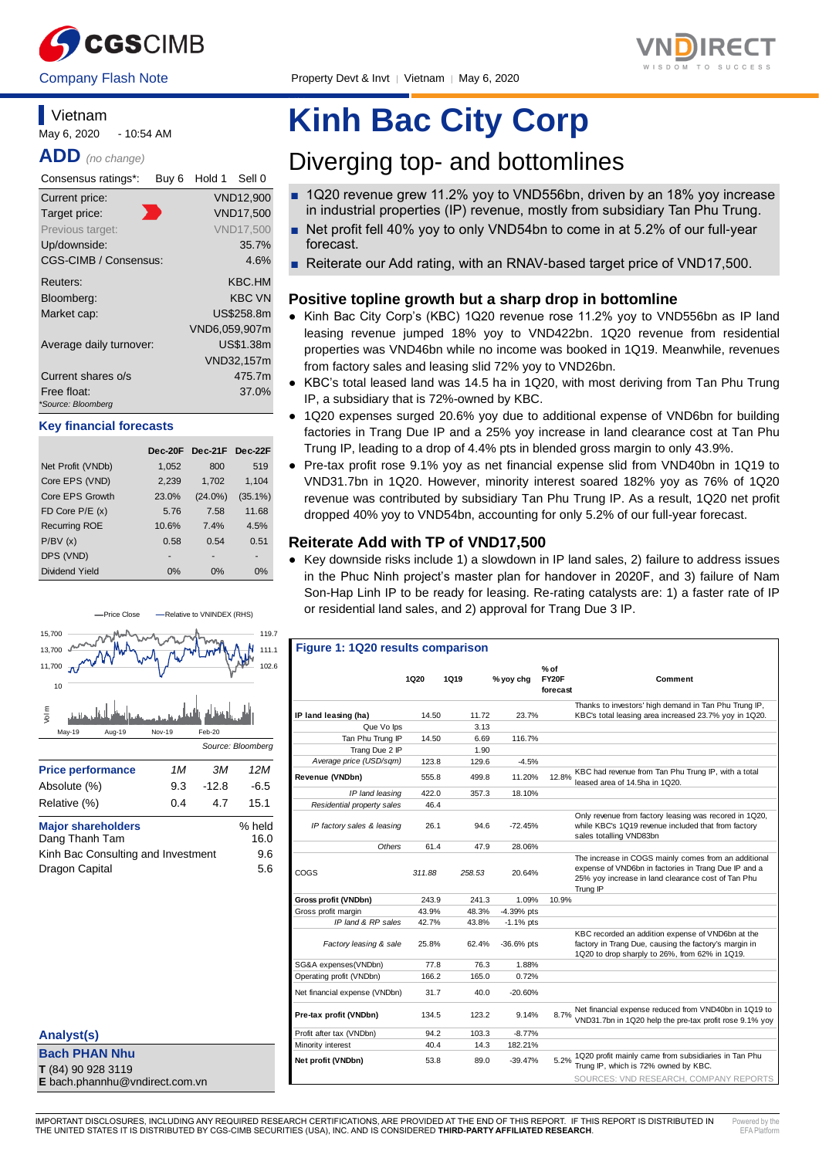



## **Vietnam**

May 6, 2020 - 10:54 AM

**ADD** *(no change)*

| Consensus ratings*:          | Buy 6 | Hold 1        | Sell 0           |
|------------------------------|-------|---------------|------------------|
| Current price:               |       |               | <b>VND12,900</b> |
| Target price:                |       |               | <b>VND17,500</b> |
| Previous target:             |       |               | <b>VND17.500</b> |
| Up/downside:                 |       |               | 35.7%            |
| <b>CGS-CIMB / Consensus:</b> |       |               | 4.6%             |
| Reuters:                     |       |               | KBC.HM           |
| Bloomberg:                   |       |               | <b>KBC VN</b>    |
| Market cap:                  |       |               | US\$258.8m       |
|                              |       | VND6,059,907m |                  |
| Average daily turnover:      |       |               | <b>US\$1.38m</b> |
|                              |       |               | VND32,157m       |
| Current shares o/s           |       |               | 475.7m           |
| Free float:                  |       |               | 37.0%            |
| *Source: Bloomberg           |       |               |                  |

### **Key financial forecasts**

|                      | Dec-20F | Dec-21F Dec-22F |            |
|----------------------|---------|-----------------|------------|
| Net Profit (VNDb)    | 1,052   | 800             | 519        |
| Core EPS (VND)       | 2,239   | 1,702           | 1,104      |
| Core EPS Growth      | 23.0%   | $(24.0\%)$      | $(35.1\%)$ |
| FD Core $P/E(x)$     | 5.76    | 7.58            | 11.68      |
| <b>Recurring ROE</b> | 10.6%   | 7.4%            | 4.5%       |
| P/BV(x)              | 0.58    | 0.54            | 0.51       |
| DPS (VND)            |         |                 |            |
| Dividend Yield       | 0%      | 0%              | 0%         |



| Analyst(s)                     |
|--------------------------------|
| <b>Bach PHAN Nhu</b>           |
| T (84) 90 928 3119             |
| E bach.phannhu@vndirect.com.vn |

# **Kinh Bac City Corp**

# Diverging top- and bottomlines

- 1Q20 revenue grew 11.2% yoy to VND556bn, driven by an 18% yoy increase in industrial properties (IP) revenue, mostly from subsidiary Tan Phu Trung.
- Net profit fell 40% yoy to only VND54bn to come in at 5.2% of our full-year forecast.
- Reiterate our Add rating, with an RNAV-based target price of VND17,500.

### **Positive topline growth but a sharp drop in bottomline**

- Kinh Bac City Corp's (KBC) 1Q20 revenue rose 11.2% yoy to VND556bn as IP land leasing revenue jumped 18% yoy to VND422bn. 1Q20 revenue from residential properties was VND46bn while no income was booked in 1Q19. Meanwhile, revenues from factory sales and leasing slid 72% yoy to VND26bn.
- KBC's total leased land was 14.5 ha in 1Q20, with most deriving from Tan Phu Trung IP, a subsidiary that is 72%-owned by KBC.
- 1Q20 expenses surged 20.6% yoy due to additional expense of VND6bn for building factories in Trang Due IP and a 25% yoy increase in land clearance cost at Tan Phu Trung IP, leading to a drop of 4.4% pts in blended gross margin to only 43.9%.
- Pre-tax profit rose 9.1% yoy as net financial expense slid from VND40bn in 1Q19 to VND31.7bn in 1Q20. However, minority interest soared 182% yoy as 76% of 1Q20 revenue was contributed by subsidiary Tan Phu Trung IP. As a result, 1Q20 net profit dropped 40% yoy to VND54bn, accounting for only 5.2% of our full-year forecast.

### **Reiterate Add with TP of VND17,500**

● Key downside risks include 1) a slowdown in IP land sales, 2) failure to address issues in the Phuc Ninh project's master plan for handover in 2020F, and 3) failure of Nam Son-Hap Linh IP to be ready for leasing. Re-rating catalysts are: 1) a faster rate of IP or residential land sales, and 2) approval for Trang Due 3 IP.

| Figure 1: 1Q20 results comparison  |        |               |              |                                  |                                                                                                                                                                                |
|------------------------------------|--------|---------------|--------------|----------------------------------|--------------------------------------------------------------------------------------------------------------------------------------------------------------------------------|
|                                    | 1Q20   | 1Q19          | % yoy chg    | % of<br><b>FY20F</b><br>forecast | Comment                                                                                                                                                                        |
|                                    |        |               |              |                                  | Thanks to investors' high demand in Tan Phu Trung IP,                                                                                                                          |
| IP land leasing (ha)<br>Que Vo Ips | 14.50  | 11.72<br>3.13 | 23.7%        |                                  | KBC's total leasing area increased 23.7% yoy in 1Q20.                                                                                                                          |
|                                    |        |               |              |                                  |                                                                                                                                                                                |
| Tan Phu Trung IP<br>Trang Due 2 IP | 14.50  | 6.69<br>1.90  | 116.7%       |                                  |                                                                                                                                                                                |
| Average price (USD/sqm)            | 123.8  | 129.6         | $-4.5%$      |                                  |                                                                                                                                                                                |
| Revenue (VNDbn)                    | 555.8  | 499.8         | 11.20%       | 12.8%                            | KBC had revenue from Tan Phu Trung IP, with a total<br>leased area of 14.5ha in 1Q20.                                                                                          |
| IP land leasing                    | 422.0  | 357.3         | 18.10%       |                                  |                                                                                                                                                                                |
| Residential property sales         | 46.4   |               |              |                                  |                                                                                                                                                                                |
| IP factory sales & leasing         | 26.1   | 94.6          | $-72.45%$    |                                  | Only revenue from factory leasing was recored in 1Q20,<br>while KBC's 1Q19 revenue included that from factory<br>sales totalling VND83bn                                       |
| Others                             | 61.4   | 47.9          | 28.06%       |                                  |                                                                                                                                                                                |
| COGS                               | 311.88 | 258.53        | 20.64%       |                                  | The increase in COGS mainly comes from an additional<br>expense of VND6bn in factories in Trang Due IP and a<br>25% yoy increase in land clearance cost of Tan Phu<br>Trung IP |
| Gross profit (VNDbn)               | 243.9  | 241.3         | 1.09%        | 10.9%                            |                                                                                                                                                                                |
| Gross profit margin                | 43.9%  | 48.3%         | -4.39% pts   |                                  |                                                                                                                                                                                |
| IP land & RP sales                 | 42.7%  | 43.8%         | $-1.1\%$ pts |                                  |                                                                                                                                                                                |
| Factory leasing & sale             | 25.8%  | 62.4%         | $-36.6%$ pts |                                  | KBC recorded an addition expense of VND6bn at the<br>factory in Trang Due, causing the factory's margin in<br>1Q20 to drop sharply to 26%, from 62% in 1Q19.                   |
| SG&A expenses(VNDbn)               | 77.8   | 76.3          | 1.88%        |                                  |                                                                                                                                                                                |
| Operating profit (VNDbn)           | 166.2  | 165.0         | 0.72%        |                                  |                                                                                                                                                                                |
| Net financial expense (VNDbn)      | 31.7   | 40.0          | $-20.60%$    |                                  |                                                                                                                                                                                |
| Pre-tax profit (VNDbn)             | 134.5  | 123.2         | 9.14%        | 8.7%                             | Net financial expense reduced from VND40bn in 1Q19 to<br>VND31.7bn in 1Q20 help the pre-tax profit rose 9.1% yoy                                                               |
| Profit after tax (VNDbn)           | 94.2   | 103.3         | $-8.77%$     |                                  |                                                                                                                                                                                |
| Minority interest                  | 40.4   | 14.3          | 182.21%      |                                  |                                                                                                                                                                                |
| Net profit (VNDbn)                 | 53.8   | 89.0          | $-39.47%$    |                                  | 1020 profit mainly came from subsidiaries in Tan Phu<br>Trung IP, which is 72% owned by KBC.                                                                                   |
|                                    |        |               |              |                                  | SOURCES: VND RESEARCH, COMPANY REPORTS                                                                                                                                         |

IMPORTANT DISCLOSURES, INCLUDING ANY REQUIRED RESEARCH CERTIFICATIONS, ARE PROVIDED AT THE END OF THIS REPORT. IF THIS REPORT IS DISTRIBUTED IN THE UNITED STATES IT IS DISTRIBUTED BY CGS-CIMB SECURITIES (USA), INC. AND IS CONSIDERED **THIRD-PARTY AFFILIATED RESEARCH**.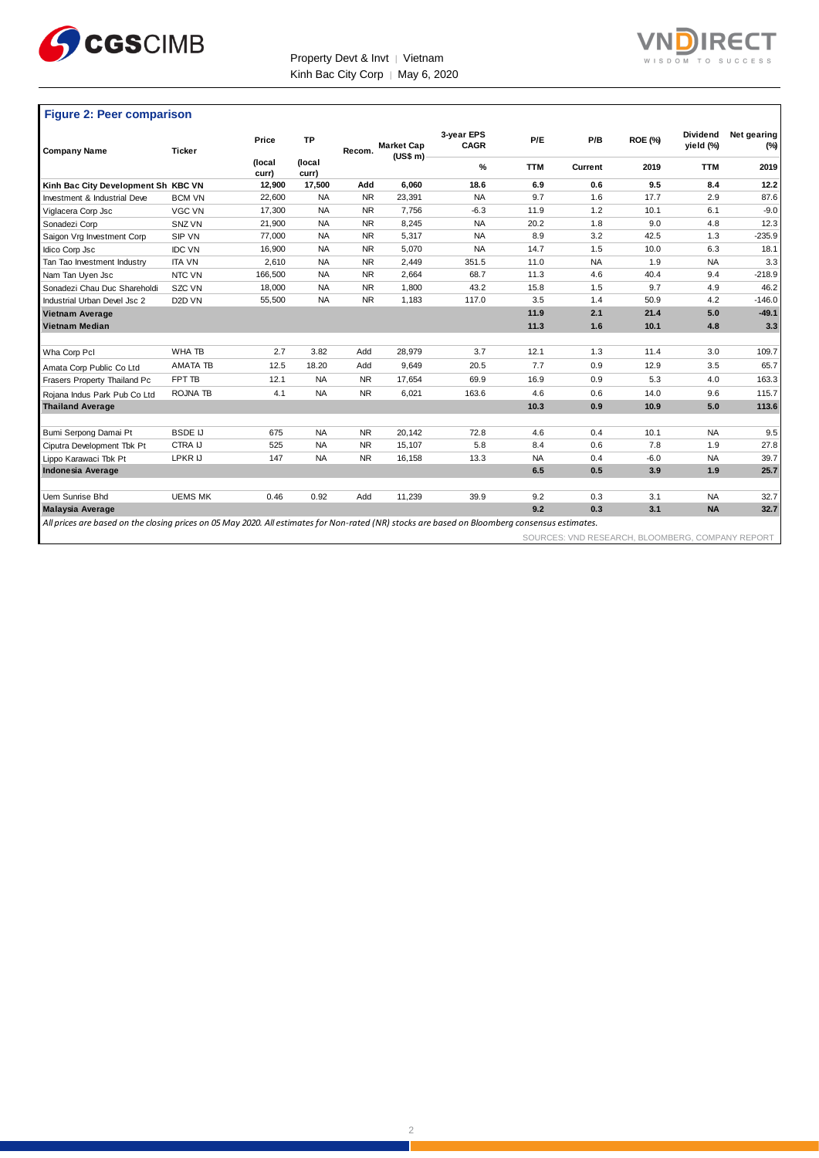

Property Devt & Invt | Vietnam Kinh Bac City Corp | May 6, 2020



### **Figure 2: Peer comparison**

| <b>Company Name</b>                                                                                                                            | <b>Ticker</b>       | Price           | TP              | Recom.    | <b>Market Cap</b> | 3-year EPS<br><b>CAGR</b> | P/E        | P/B       | <b>ROE (%)</b>                                   | Dividend<br>yield (%) | Net gearing<br>$(\%)$ |
|------------------------------------------------------------------------------------------------------------------------------------------------|---------------------|-----------------|-----------------|-----------|-------------------|---------------------------|------------|-----------|--------------------------------------------------|-----------------------|-----------------------|
|                                                                                                                                                |                     | (local<br>curr) | (local<br>curr) |           | (US\$ m)          | %                         | <b>TTM</b> | Current   | 2019                                             | <b>TTM</b>            | 2019                  |
| Kinh Bac City Development Sh KBC VN                                                                                                            |                     | 12,900          | 17,500          | Add       | 6.060             | 18.6                      | 6.9        | 0.6       | 9.5                                              | 8.4                   | 12.2                  |
| Investment & Industrial Deve                                                                                                                   | <b>BCM VN</b>       | 22,600          | <b>NA</b>       | <b>NR</b> | 23,391            | <b>NA</b>                 | 9.7        | 1.6       | 17.7                                             | 2.9                   | 87.6                  |
| Viglacera Corp Jsc                                                                                                                             | <b>VGC VN</b>       | 17.300          | <b>NA</b>       | <b>NR</b> | 7.756             | $-6.3$                    | 11.9       | 1.2       | 10.1                                             | 6.1                   | $-9.0$                |
| Sonadezi Corp                                                                                                                                  | SNZ VN              | 21,900          | <b>NA</b>       | <b>NR</b> | 8,245             | <b>NA</b>                 | 20.2       | 1.8       | 9.0                                              | 4.8                   | 12.3                  |
| Saigon Vrg Investment Corp                                                                                                                     | SIP VN              | 77.000          | <b>NA</b>       | <b>NR</b> | 5.317             | <b>NA</b>                 | 8.9        | 3.2       | 42.5                                             | 1.3                   | $-235.9$              |
| Idico Corp Jsc                                                                                                                                 | <b>IDC VN</b>       | 16,900          | <b>NA</b>       | <b>NR</b> | 5,070             | <b>NA</b>                 | 14.7       | 1.5       | 10.0                                             | 6.3                   | 18.1                  |
| Tan Tao Investment Industry                                                                                                                    | <b>ITA VN</b>       | 2.610           | <b>NA</b>       | <b>NR</b> | 2.449             | 351.5                     | 11.0       | <b>NA</b> | 1.9                                              | <b>NA</b>             | 3.3                   |
| Nam Tan Uyen Jsc                                                                                                                               | NTC VN              | 166,500         | <b>NA</b>       | <b>NR</b> | 2,664             | 68.7                      | 11.3       | 4.6       | 40.4                                             | 9.4                   | $-218.9$              |
| Sonadezi Chau Duc Shareholdi                                                                                                                   | SZC VN              | 18,000          | <b>NA</b>       | <b>NR</b> | 1,800             | 43.2                      | 15.8       | 1.5       | 9.7                                              | 4.9                   | 46.2                  |
| Industrial Urban Devel Jsc 2                                                                                                                   | D <sub>2</sub> D VN | 55,500          | <b>NA</b>       | <b>NR</b> | 1,183             | 117.0                     | 3.5        | 1.4       | 50.9                                             | 4.2                   | $-146.0$              |
| <b>Vietnam Average</b>                                                                                                                         |                     |                 |                 |           |                   |                           | 11.9       | 2.1       | 21.4                                             | 5.0                   | $-49.1$               |
| <b>Vietnam Median</b>                                                                                                                          |                     |                 |                 |           |                   |                           | 11.3       | 1.6       | 10.1                                             | 4.8                   | 3.3                   |
|                                                                                                                                                |                     |                 |                 |           |                   |                           |            |           |                                                  |                       |                       |
| Wha Corp Pcl                                                                                                                                   | WHA TB              | 2.7             | 3.82            | Add       | 28,979            | 3.7                       | 12.1       | 1.3       | 11.4                                             | 3.0                   | 109.7                 |
| Amata Corp Public Co Ltd                                                                                                                       | <b>AMATA TB</b>     | 12.5            | 18.20           | Add       | 9.649             | 20.5                      | 7.7        | 0.9       | 12.9                                             | 3.5                   | 65.7                  |
| Frasers Property Thailand Pc                                                                                                                   | FPT TB              | 12.1            | <b>NA</b>       | NR.       | 17,654            | 69.9                      | 16.9       | 0.9       | 5.3                                              | 4.0                   | 163.3                 |
| Rojana Indus Park Pub Co Ltd                                                                                                                   | ROJNA TB            | 4.1             | <b>NA</b>       | <b>NR</b> | 6,021             | 163.6                     | 4.6        | 0.6       | 14.0                                             | 9.6                   | 115.7                 |
| <b>Thailand Average</b>                                                                                                                        |                     |                 |                 |           |                   |                           | 10.3       | 0.9       | 10.9                                             | 5.0                   | 113.6                 |
| Bumi Serpong Damai Pt                                                                                                                          | <b>BSDE IJ</b>      | 675             | <b>NA</b>       | <b>NR</b> | 20.142            | 72.8                      | 4.6        | 0.4       | 10.1                                             | <b>NA</b>             | 9.5                   |
| Ciputra Development Tbk Pt                                                                                                                     | <b>CTRA IJ</b>      | 525             | <b>NA</b>       | NR.       | 15.107            | 5.8                       | 8.4        | 0.6       | 7.8                                              | 1.9                   | 27.8                  |
| Lippo Karawaci Tbk Pt                                                                                                                          | LPKR IJ             | 147             | <b>NA</b>       | NR.       | 16,158            | 13.3                      | <b>NA</b>  | 0.4       | $-6.0$                                           | <b>NA</b>             | 39.7                  |
| Indonesia Average                                                                                                                              |                     |                 |                 |           |                   |                           | 6.5        | 0.5       | 3.9                                              | 1.9                   | 25.7                  |
|                                                                                                                                                |                     |                 |                 |           |                   |                           |            |           |                                                  |                       |                       |
| Uem Sunrise Bhd                                                                                                                                | <b>UEMS MK</b>      | 0.46            | 0.92            | Add       | 11.239            | 39.9                      | 9.2        | 0.3       | 3.1                                              | <b>NA</b>             | 32.7                  |
| <b>Malaysia Average</b>                                                                                                                        |                     |                 |                 |           |                   |                           | 9.2        | 0.3       | 3.1                                              | <b>NA</b>             | 32.7                  |
| All prices are based on the closing prices on 05 May 2020. All estimates for Non-rated (NR) stocks are based on Bloomberg consensus estimates. |                     |                 |                 |           |                   |                           |            |           | SOURCES: VND RESEARCH, BLOOMBERG, COMPANY REPORT |                       |                       |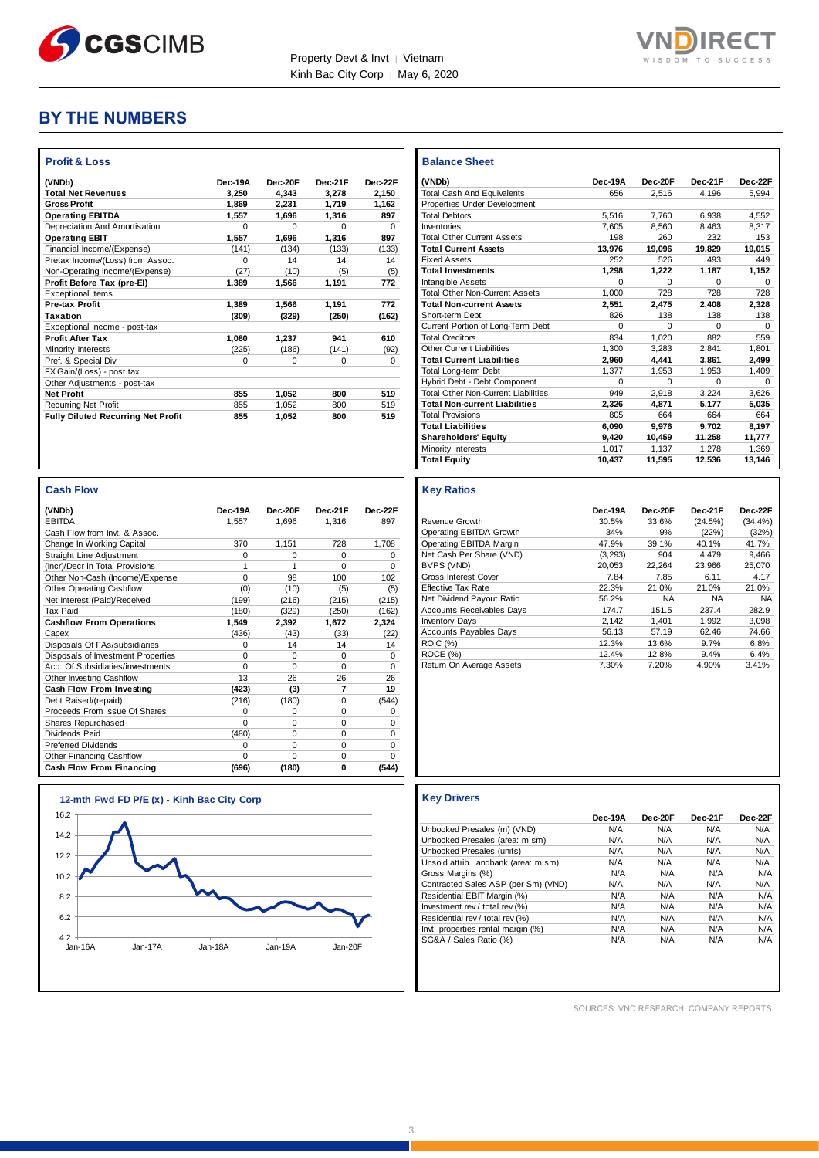



### **BY THE NUMBERS**

| <b>Profit &amp; Loss</b>                  |          |          |          |          |
|-------------------------------------------|----------|----------|----------|----------|
| (VNDb)                                    | Dec-19A  | Dec-20E  | Dec-21F  | Dec-22F  |
| <b>Total Net Revenues</b>                 | 3.250    | 4.343    | 3.278    | 2.150    |
| <b>Gross Profit</b>                       | 1.869    | 2.231    | 1,719    | 1.162    |
| <b>Operating EBITDA</b>                   | 1.557    | 1.696    | 1.316    | 897      |
| Depreciation And Amortisation             | $\Omega$ | $\Omega$ | $\Omega$ | $\Omega$ |
| <b>Operating EBIT</b>                     | 1.557    | 1,696    | 1.316    | 897      |
| Financial Income/(Expense)                | (141)    | (134)    | (133)    | (133)    |
| Pretax Income/(Loss) from Assoc.          | O        | 14       | 14       | 14       |
| Non-Operating Income/(Expense)            | (27)     | (10)     | (5)      | (5)      |
| Profit Before Tax (pre-El)                | 1,389    | 1,566    | 1.191    | 772      |
| <b>Exceptional Items</b>                  |          |          |          |          |
| <b>Pre-tax Profit</b>                     | 1.389    | 1.566    | 1.191    | 772      |
| Taxation                                  | (309)    | (329)    | (250)    | (162)    |
| Exceptional Income - post-tax             |          |          |          |          |
| <b>Profit After Tax</b>                   | 1.080    | 1.237    | 941      | 610      |
| Minority Interests                        | (225)    | (186)    | (141)    | (92)     |
| Pref. & Special Div                       | $\Omega$ | $\Omega$ | $\Omega$ | $\Omega$ |
| FX Gain/(Loss) - post tax                 |          |          |          |          |
| Other Adjustments - post-tax              |          |          |          |          |
| <b>Net Profit</b>                         | 855      | 1,052    | 800      | 519      |
| <b>Recurring Net Profit</b>               | 855      | 1.052    | 800      | 519      |
| <b>Fully Diluted Recurring Net Profit</b> | 855      | 1.052    | 800      | 519      |

| <b>Cash Flow</b>                   |          |             |          |          |
|------------------------------------|----------|-------------|----------|----------|
| (VNDb)                             | Dec-19A  | Dec-20E     | Dec-21F  | Dec-22F  |
| <b>EBITDA</b>                      | 1,557    | 1.696       | 1,316    | 897      |
| Cash Flow from Invt. & Assoc.      |          |             |          |          |
| Change In Working Capital          | 370      | 1,151       | 728      | 1.708    |
| Straight Line Adjustment           | $\Omega$ | $\Omega$    | $\Omega$ | 0        |
| (Incr)/Decr in Total Provisions    | 1        | 1           | $\Omega$ | 0        |
| Other Non-Cash (Income)/Expense    | $\Omega$ | 98          | 100      | 102      |
| <b>Other Operating Cashflow</b>    | (0)      | (10)        | (5)      | (5)      |
| Net Interest (Paid)/Received       | (199)    | (216)       | (215)    | (215)    |
| <b>Tax Paid</b>                    | (180)    | (329)       | (250)    | (162)    |
| <b>Cashflow From Operations</b>    | 1,549    | 2,392       | 1,672    | 2,324    |
| Capex                              | (436)    | (43)        | (33)     | (22)     |
| Disposals Of FAs/subsidiaries      | $\Omega$ | 14          | 14       | 14       |
| Disposals of Investment Properties | $\Omega$ | $\Omega$    | $\Omega$ | $\Omega$ |
| Acq. Of Subsidiaries/investments   | $\Omega$ | $\Omega$    | $\Omega$ | $\Omega$ |
| Other Investing Cashflow           | 13       | 26          | 26       | 26       |
| Cash Flow From Investing           | (423)    | (3)         | 7        | 19       |
| Debt Raised/(repaid)               | (216)    | (180)       | $\Omega$ | (544)    |
| Proceeds From Issue Of Shares      | $\Omega$ | 0           | 0        | 0        |
| Shares Repurchased                 | $\Omega$ | $\Omega$    | $\Omega$ | $\Omega$ |
| Dividends Paid                     | (480)    | $\mathbf 0$ | 0        | 0        |
| <b>Preferred Dividends</b>         | 0        | $\mathbf 0$ | 0        | 0        |
| Other Financing Cashflow           | $\Omega$ | $\Omega$    | $\Omega$ | $\Omega$ |
| <b>Cash Flow From Financing</b>    | (696)    | (180)       | 0        | (544)    |



| <b>Balance Sheet</b>                       |          |         |          |              |
|--------------------------------------------|----------|---------|----------|--------------|
| (VNDb)                                     | Dec-19A  | Dec-20F | Dec-21F  | Dec-22F      |
| <b>Total Cash And Equivalents</b>          | 656      | 2.516   | 4.196    | 5.994        |
| Properties Under Development               |          |         |          |              |
| <b>Total Debtors</b>                       | 5.516    | 7.760   | 6.938    | 4.552        |
| Inventories                                | 7.605    | 8.560   | 8.463    | 8.317        |
| <b>Total Other Current Assets</b>          | 198      | 260     | 232      | 153          |
| <b>Total Current Assets</b>                | 13.976   | 19.096  | 19.829   | 19,015       |
| <b>Fixed Assets</b>                        | 252      | 526     | 493      | 449          |
| <b>Total Investments</b>                   | 1.298    | 1.222   | 1.187    | 1.152        |
| Intangible Assets                          | $\Omega$ | O       | $\Omega$ | $\Omega$     |
| <b>Total Other Non-Current Assets</b>      | 1.000    | 728     | 728      | 728          |
| <b>Total Non-current Assets</b>            | 2.551    | 2.475   | 2.408    | 2.328        |
| Short-term Debt                            | 826      | 138     | 138      | 138          |
| Current Portion of Long-Term Debt          | $\Omega$ | O       | U        | <sup>0</sup> |
| <b>Total Creditors</b>                     | 834      | 1.020   | 882      | 559          |
| <b>Other Current Liabilities</b>           | 1.300    | 3.283   | 2.841    | 1.801        |
| <b>Total Current Liabilities</b>           | 2.960    | 4.441   | 3.861    | 2,499        |
| <b>Total Long-term Debt</b>                | 1.377    | 1.953   | 1.953    | 1.409        |
| Hybrid Debt - Debt Component               | $\Omega$ | 0       | $\Omega$ | $\Omega$     |
| <b>Total Other Non-Current Liabilities</b> | 949      | 2.918   | 3.224    | 3.626        |
| <b>Total Non-current Liabilities</b>       | 2,326    | 4.871   | 5.177    | 5.035        |
| <b>Total Provisions</b>                    | 805      | 664     | 664      | 664          |
| <b>Total Liabilities</b>                   | 6.090    | 9.976   | 9.702    | 8.197        |
| <b>Shareholders' Equity</b>                | 9.420    | 10.459  | 11,258   | 11,777       |
| Minority Interests                         | 1.017    | 1.137   | 1.278    | 1.369        |
| <b>Total Equity</b>                        | 10,437   | 11.595  | 12.536   | 13.146       |

### **Key Ratios**

|                                  | Dec-19A  | Dec-20F   | Dec-21F | Dec-22F    |
|----------------------------------|----------|-----------|---------|------------|
| Revenue Growth                   | 30.5%    | 33.6%     | (24.5%) | $(34.4\%)$ |
| Operating EBITDA Growth          | 34%      | 9%        | (22%)   | (32%)      |
| Operating EBITDA Margin          | 47.9%    | 39.1%     | 40.1%   | 41.7%      |
| Net Cash Per Share (VND)         | (3, 293) | 904       | 4.479   | 9.466      |
| BVPS (VND)                       | 20.053   | 22.264    | 23.966  | 25.070     |
| Gross Interest Cover             | 7.84     | 7.85      | 6.11    | 4.17       |
| <b>Effective Tax Rate</b>        | 22.3%    | 21.0%     | 21.0%   | 21.0%      |
| Net Dividend Payout Ratio        | 56.2%    | <b>NA</b> | NA      | <b>NA</b>  |
| <b>Accounts Receivables Days</b> | 174.7    | 151.5     | 237.4   | 282.9      |
| <b>Inventory Days</b>            | 2.142    | 1.401     | 1.992   | 3.098      |
| <b>Accounts Payables Days</b>    | 56.13    | 57.19     | 62.46   | 74.66      |
| <b>ROIC (%)</b>                  | 12.3%    | 13.6%     | 9.7%    | 6.8%       |
| ROCE (%)                         | 12.4%    | 12.8%     | 9.4%    | 6.4%       |
| Return On Average Assets         | 7.30%    | 7.20%     | 4.90%   | 3.41%      |

|                                      | Dec-19A | Dec-20F | Dec-21F | Dec-22F |
|--------------------------------------|---------|---------|---------|---------|
| Unbooked Presales (m) (VND)          | N/A     | N/A     | N/A     | N/A     |
| Unbooked Presales (area: m sm)       | N/A     | N/A     | N/A     | N/A     |
| Unbooked Presales (units)            | N/A     | N/A     | N/A     | N/A     |
| Unsold attrib. landbank (area: m sm) | N/A     | N/A     | N/A     | N/A     |
| Gross Margins (%)                    | N/A     | N/A     | N/A     | N/A     |
| Contracted Sales ASP (per Sm) (VND)  | N/A     | N/A     | N/A     | N/A     |
| Residential EBIT Margin (%)          | N/A     | N/A     | N/A     | N/A     |
| Investment rev / total rev (%)       | N/A     | N/A     | N/A     | N/A     |
| Residential rev / total rev (%)      | N/A     | N/A     | N/A     | N/A     |
| Invt. properties rental margin (%)   | N/A     | N/A     | N/A     | N/A     |
| SG&A / Sales Ratio (%)               | N/A     | N/A     | N/A     | N/A     |

SOURCES: VND RESEARCH, COMPANY REPORTS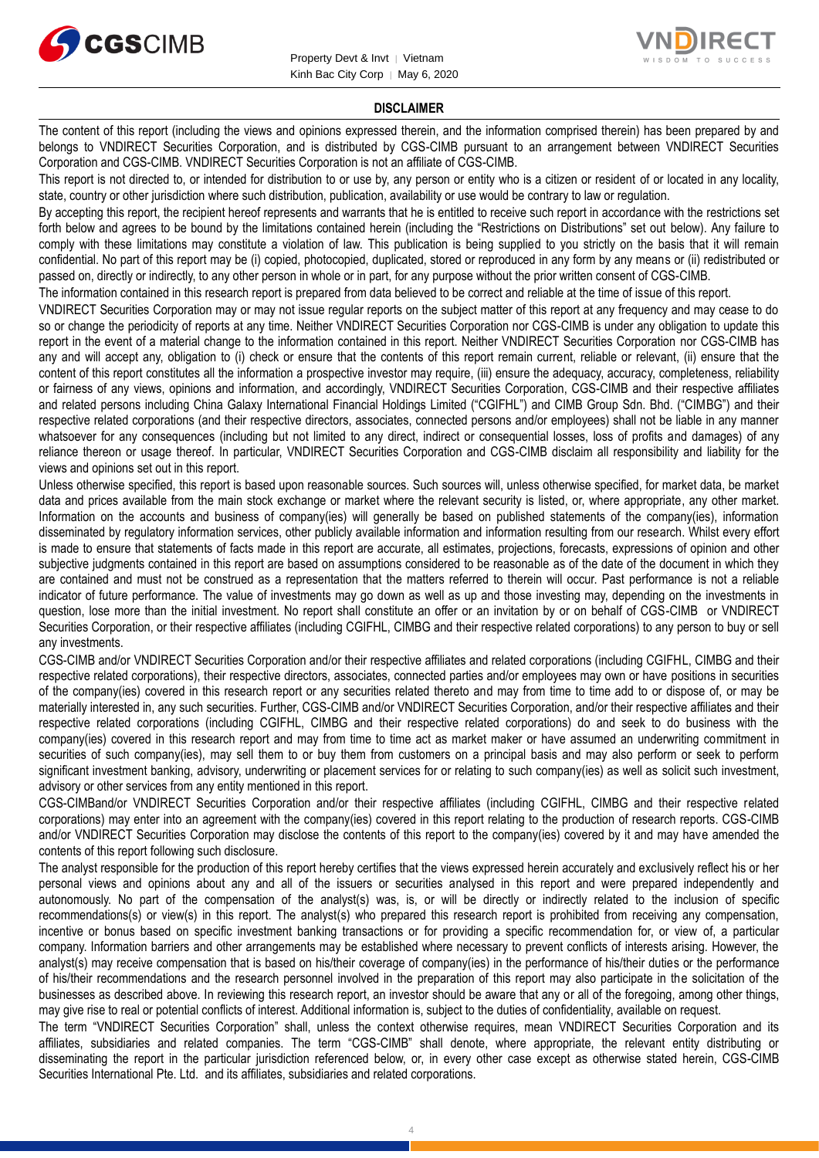



### **DISCLAIMER**

The content of this report (including the views and opinions expressed therein, and the information comprised therein) has been prepared by and belongs to VNDIRECT Securities Corporation, and is distributed by CGS-CIMB pursuant to an arrangement between VNDIRECT Securities Corporation and CGS-CIMB. VNDIRECT Securities Corporation is not an affiliate of CGS-CIMB.

This report is not directed to, or intended for distribution to or use by, any person or entity who is a citizen or resident of or located in any locality, state, country or other jurisdiction where such distribution, publication, availability or use would be contrary to law or regulation.

By accepting this report, the recipient hereof represents and warrants that he is entitled to receive such report in accordance with the restrictions set forth below and agrees to be bound by the limitations contained herein (including the "Restrictions on Distributions" set out below). Any failure to comply with these limitations may constitute a violation of law. This publication is being supplied to you strictly on the basis that it will remain confidential. No part of this report may be (i) copied, photocopied, duplicated, stored or reproduced in any form by any means or (ii) redistributed or passed on, directly or indirectly, to any other person in whole or in part, for any purpose without the prior written consent of CGS-CIMB.

The information contained in this research report is prepared from data believed to be correct and reliable at the time of issue of this report.

VNDIRECT Securities Corporation may or may not issue regular reports on the subject matter of this report at any frequency and may cease to do so or change the periodicity of reports at any time. Neither VNDIRECT Securities Corporation nor CGS-CIMB is under any obligation to update this report in the event of a material change to the information contained in this report. Neither VNDIRECT Securities Corporation nor CGS-CIMB has any and will accept any, obligation to (i) check or ensure that the contents of this report remain current, reliable or relevant, (ii) ensure that the content of this report constitutes all the information a prospective investor may require, (iii) ensure the adequacy, accuracy, completeness, reliability or fairness of any views, opinions and information, and accordingly, VNDIRECT Securities Corporation, CGS-CIMB and their respective affiliates and related persons including China Galaxy International Financial Holdings Limited ("CGIFHL") and CIMB Group Sdn. Bhd. ("CIMBG") and their respective related corporations (and their respective directors, associates, connected persons and/or employees) shall not be liable in any manner whatsoever for any consequences (including but not limited to any direct, indirect or consequential losses, loss of profits and damages) of any reliance thereon or usage thereof. In particular, VNDIRECT Securities Corporation and CGS-CIMB disclaim all responsibility and liability for the views and opinions set out in this report.

Unless otherwise specified, this report is based upon reasonable sources. Such sources will, unless otherwise specified, for market data, be market data and prices available from the main stock exchange or market where the relevant security is listed, or, where appropriate, any other market. Information on the accounts and business of company(ies) will generally be based on published statements of the company(ies), information disseminated by regulatory information services, other publicly available information and information resulting from our research. Whilst every effort is made to ensure that statements of facts made in this report are accurate, all estimates, projections, forecasts, expressions of opinion and other subjective judgments contained in this report are based on assumptions considered to be reasonable as of the date of the document in which they are contained and must not be construed as a representation that the matters referred to therein will occur. Past performance is not a reliable indicator of future performance. The value of investments may go down as well as up and those investing may, depending on the investments in question, lose more than the initial investment. No report shall constitute an offer or an invitation by or on behalf of CGS-CIMB or VNDIRECT Securities Corporation, or their respective affiliates (including CGIFHL, CIMBG and their respective related corporations) to any person to buy or sell any investments.

CGS-CIMB and/or VNDIRECT Securities Corporation and/or their respective affiliates and related corporations (including CGIFHL, CIMBG and their respective related corporations), their respective directors, associates, connected parties and/or employees may own or have positions in securities of the company(ies) covered in this research report or any securities related thereto and may from time to time add to or dispose of, or may be materially interested in, any such securities. Further, CGS-CIMB and/or VNDIRECT Securities Corporation, and/or their respective affiliates and their respective related corporations (including CGIFHL, CIMBG and their respective related corporations) do and seek to do business with the company(ies) covered in this research report and may from time to time act as market maker or have assumed an underwriting commitment in securities of such company(ies), may sell them to or buy them from customers on a principal basis and may also perform or seek to perform significant investment banking, advisory, underwriting or placement services for or relating to such company(ies) as well as solicit such investment, advisory or other services from any entity mentioned in this report.

CGS-CIMBand/or VNDIRECT Securities Corporation and/or their respective affiliates (including CGIFHL, CIMBG and their respective related corporations) may enter into an agreement with the company(ies) covered in this report relating to the production of research reports. CGS-CIMB and/or VNDIRECT Securities Corporation may disclose the contents of this report to the company(ies) covered by it and may have amended the contents of this report following such disclosure.

The analyst responsible for the production of this report hereby certifies that the views expressed herein accurately and exclusively reflect his or her personal views and opinions about any and all of the issuers or securities analysed in this report and were prepared independently and autonomously. No part of the compensation of the analyst(s) was, is, or will be directly or indirectly related to the inclusion of specific recommendations(s) or view(s) in this report. The analyst(s) who prepared this research report is prohibited from receiving any compensation, incentive or bonus based on specific investment banking transactions or for providing a specific recommendation for, or view of, a particular company. Information barriers and other arrangements may be established where necessary to prevent conflicts of interests arising. However, the analyst(s) may receive compensation that is based on his/their coverage of company(ies) in the performance of his/their duties or the performance of his/their recommendations and the research personnel involved in the preparation of this report may also participate in the solicitation of the businesses as described above. In reviewing this research report, an investor should be aware that any or all of the foregoing, among other things, may give rise to real or potential conflicts of interest. Additional information is, subject to the duties of confidentiality, available on request.

The term "VNDIRECT Securities Corporation" shall, unless the context otherwise requires, mean VNDIRECT Securities Corporation and its affiliates, subsidiaries and related companies. The term "CGS-CIMB" shall denote, where appropriate, the relevant entity distributing or disseminating the report in the particular jurisdiction referenced below, or, in every other case except as otherwise stated herein, CGS-CIMB Securities International Pte. Ltd. and its affiliates, subsidiaries and related corporations.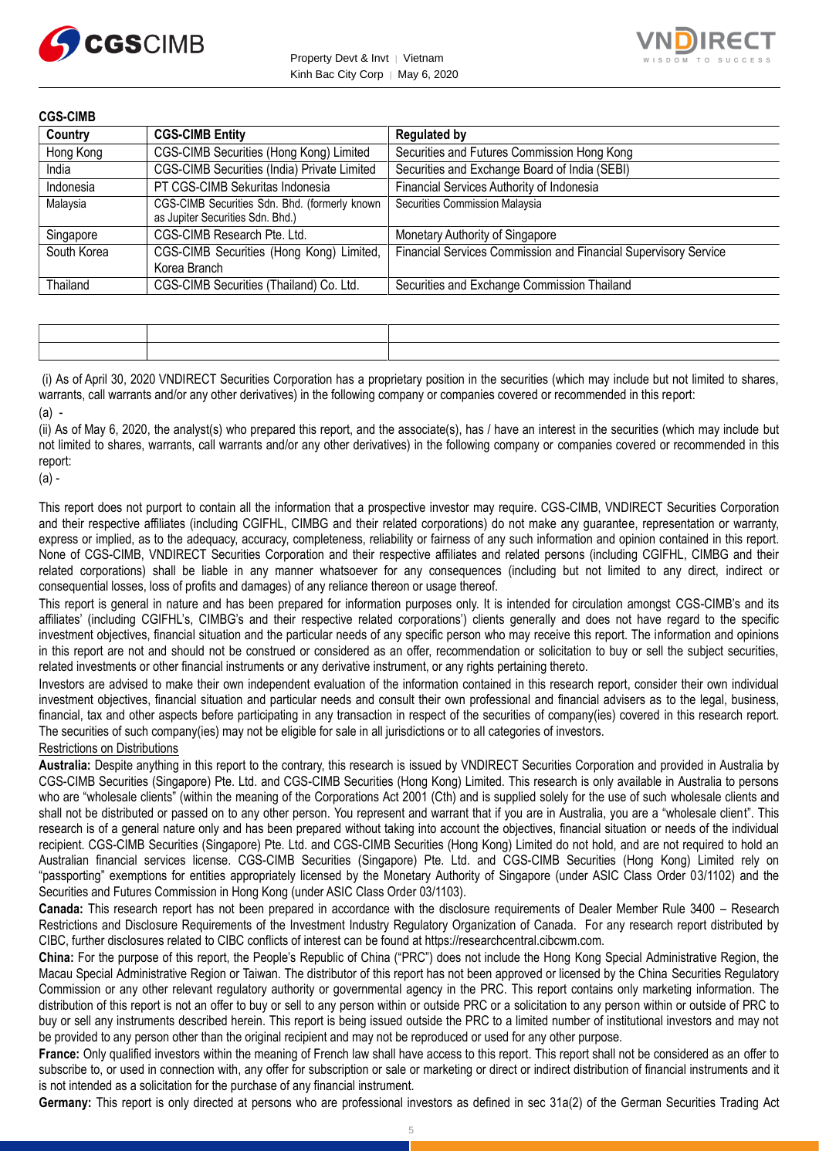



**CGS-CIMB**

| Country     | <b>CGS-CIMB Entity</b>                                                            | <b>Regulated by</b>                                             |
|-------------|-----------------------------------------------------------------------------------|-----------------------------------------------------------------|
| Hong Kong   | CGS-CIMB Securities (Hong Kong) Limited                                           | Securities and Futures Commission Hong Kong                     |
| India       | CGS-CIMB Securities (India) Private Limited                                       | Securities and Exchange Board of India (SEBI)                   |
| Indonesia   | PT CGS-CIMB Sekuritas Indonesia                                                   | Financial Services Authority of Indonesia                       |
| Malaysia    | CGS-CIMB Securities Sdn. Bhd. (formerly known<br>as Jupiter Securities Sdn. Bhd.) | Securities Commission Malaysia                                  |
| Singapore   | CGS-CIMB Research Pte. Ltd.                                                       | Monetary Authority of Singapore                                 |
| South Korea | CGS-CIMB Securities (Hong Kong) Limited,<br>Korea Branch                          | Financial Services Commission and Financial Supervisory Service |
| Thailand    | CGS-CIMB Securities (Thailand) Co. Ltd.                                           | Securities and Exchange Commission Thailand                     |

| the contract of the contract of the contract of the contract of the contract of the contract of the contract of | the contract of the contract of the contract of the contract of the contract of the contract of the contract of<br>the control of the control of the control of the control of the control of the control of |
|-----------------------------------------------------------------------------------------------------------------|--------------------------------------------------------------------------------------------------------------------------------------------------------------------------------------------------------------|
|                                                                                                                 |                                                                                                                                                                                                              |

(i) As of April 30, 2020 VNDIRECT Securities Corporation has a proprietary position in the securities (which may include but not limited to shares, warrants, call warrants and/or any other derivatives) in the following company or companies covered or recommended in this report:  $(a)$  -

(ii) As of May 6, 2020, the analyst(s) who prepared this report, and the associate(s), has / have an interest in the securities (which may include but not limited to shares, warrants, call warrants and/or any other derivatives) in the following company or companies covered or recommended in this report:

(a) -

This report does not purport to contain all the information that a prospective investor may require. CGS-CIMB, VNDIRECT Securities Corporation and their respective affiliates (including CGIFHL, CIMBG and their related corporations) do not make any guarantee, representation or warranty, express or implied, as to the adequacy, accuracy, completeness, reliability or fairness of any such information and opinion contained in this report. None of CGS-CIMB, VNDIRECT Securities Corporation and their respective affiliates and related persons (including CGIFHL, CIMBG and their related corporations) shall be liable in any manner whatsoever for any consequences (including but not limited to any direct, indirect or consequential losses, loss of profits and damages) of any reliance thereon or usage thereof.

This report is general in nature and has been prepared for information purposes only. It is intended for circulation amongst CGS-CIMB's and its affiliates' (including CGIFHL's, CIMBG's and their respective related corporations') clients generally and does not have regard to the specific investment objectives, financial situation and the particular needs of any specific person who may receive this report. The information and opinions in this report are not and should not be construed or considered as an offer, recommendation or solicitation to buy or sell the subject securities, related investments or other financial instruments or any derivative instrument, or any rights pertaining thereto.

Investors are advised to make their own independent evaluation of the information contained in this research report, consider their own individual investment objectives, financial situation and particular needs and consult their own professional and financial advisers as to the legal, business, financial, tax and other aspects before participating in any transaction in respect of the securities of company(ies) covered in this research report. The securities of such company(ies) may not be eligible for sale in all jurisdictions or to all categories of investors.

### Restrictions on Distributions

**Australia:** Despite anything in this report to the contrary, this research is issued by VNDIRECT Securities Corporation and provided in Australia by CGS-CIMB Securities (Singapore) Pte. Ltd. and CGS-CIMB Securities (Hong Kong) Limited. This research is only available in Australia to persons who are "wholesale clients" (within the meaning of the Corporations Act 2001 (Cth) and is supplied solely for the use of such wholesale clients and shall not be distributed or passed on to any other person. You represent and warrant that if you are in Australia, you are a "wholesale client". This research is of a general nature only and has been prepared without taking into account the objectives, financial situation or needs of the individual recipient. CGS-CIMB Securities (Singapore) Pte. Ltd. and CGS-CIMB Securities (Hong Kong) Limited do not hold, and are not required to hold an Australian financial services license. CGS-CIMB Securities (Singapore) Pte. Ltd. and CGS-CIMB Securities (Hong Kong) Limited rely on "passporting" exemptions for entities appropriately licensed by the Monetary Authority of Singapore (under ASIC Class Order 03/1102) and the Securities and Futures Commission in Hong Kong (under ASIC Class Order 03/1103).

**Canada:** This research report has not been prepared in accordance with the disclosure requirements of Dealer Member Rule 3400 – Research Restrictions and Disclosure Requirements of the Investment Industry Regulatory Organization of Canada. For any research report distributed by CIBC, further disclosures related to CIBC conflicts of interest can be found at https://researchcentral.cibcwm.com.

**China:** For the purpose of this report, the People's Republic of China ("PRC") does not include the Hong Kong Special Administrative Region, the Macau Special Administrative Region or Taiwan. The distributor of this report has not been approved or licensed by the China Securities Regulatory Commission or any other relevant regulatory authority or governmental agency in the PRC. This report contains only marketing information. The distribution of this report is not an offer to buy or sell to any person within or outside PRC or a solicitation to any person within or outside of PRC to buy or sell any instruments described herein. This report is being issued outside the PRC to a limited number of institutional investors and may not be provided to any person other than the original recipient and may not be reproduced or used for any other purpose.

**France:** Only qualified investors within the meaning of French law shall have access to this report. This report shall not be considered as an offer to subscribe to, or used in connection with, any offer for subscription or sale or marketing or direct or indirect distribution of financial instruments and it is not intended as a solicitation for the purchase of any financial instrument.

Germany: This report is only directed at persons who are professional investors as defined in sec 31a(2) of the German Securities Trading Act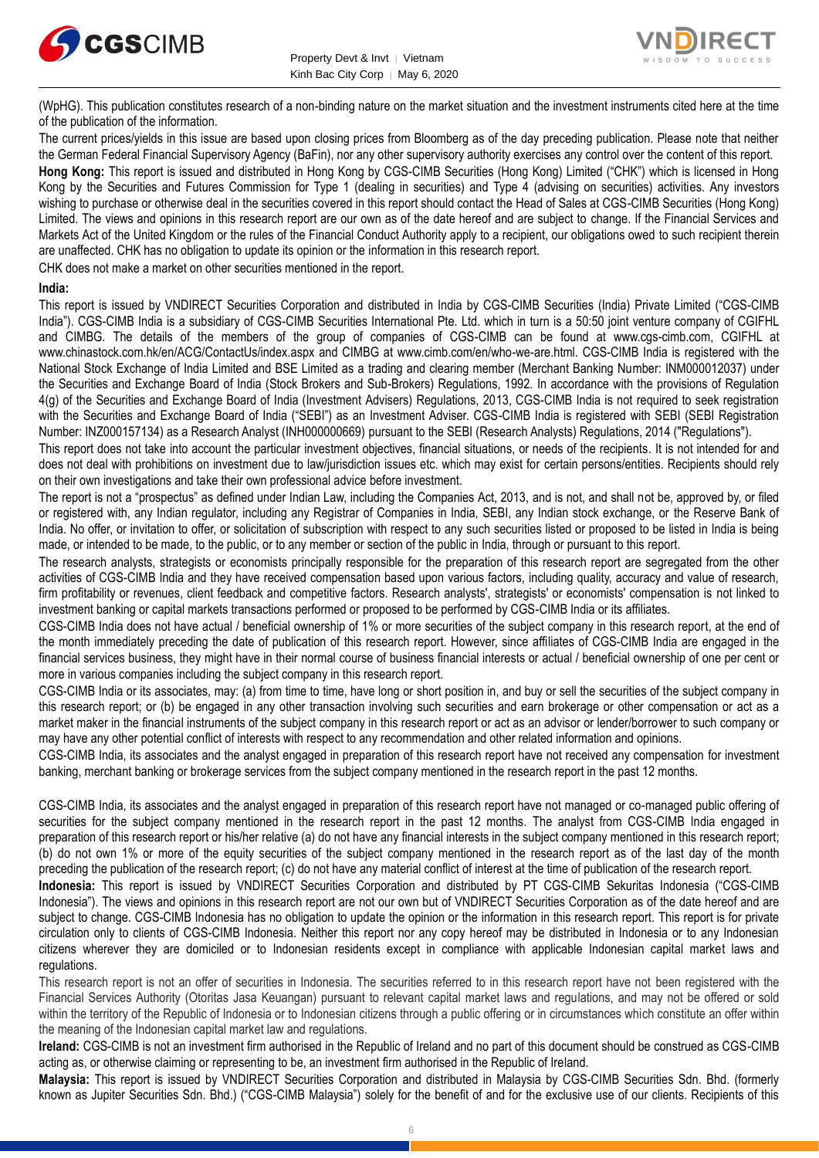

Property Devt & Invt │ Vietnam Kinh Bac City Corp | May 6, 2020



(WpHG). This publication constitutes research of a non-binding nature on the market situation and the investment instruments cited here at the time of the publication of the information.

The current prices/yields in this issue are based upon closing prices from Bloomberg as of the day preceding publication. Please note that neither the German Federal Financial Supervisory Agency (BaFin), nor any other supervisory authority exercises any control over the content of this report.

**Hong Kong:** This report is issued and distributed in Hong Kong by CGS-CIMB Securities (Hong Kong) Limited ("CHK") which is licensed in Hong Kong by the Securities and Futures Commission for Type 1 (dealing in securities) and Type 4 (advising on securities) activities. Any investors wishing to purchase or otherwise deal in the securities covered in this report should contact the Head of Sales at CGS-CIMB Securities (Hong Kong) Limited. The views and opinions in this research report are our own as of the date hereof and are subject to change. If the Financial Services and Markets Act of the United Kingdom or the rules of the Financial Conduct Authority apply to a recipient, our obligations owed to such recipient therein are unaffected. CHK has no obligation to update its opinion or the information in this research report.

CHK does not make a market on other securities mentioned in the report.

### **India:**

This report is issued by VNDIRECT Securities Corporation and distributed in India by CGS-CIMB Securities (India) Private Limited ("CGS-CIMB India"). CGS-CIMB India is a subsidiary of CGS-CIMB Securities International Pte. Ltd. which in turn is a 50:50 joint venture company of CGIFHL and CIMBG. The details of the members of the group of companies of CGS-CIMB can be found at www.cgs-cimb.com, CGIFHL at www.chinastock.com.hk/en/ACG/ContactUs/index.aspx and CIMBG at www.cimb.com/en/who-we-are.html. CGS-CIMB India is registered with the National Stock Exchange of India Limited and BSE Limited as a trading and clearing member (Merchant Banking Number: INM000012037) under the Securities and Exchange Board of India (Stock Brokers and Sub-Brokers) Regulations, 1992. In accordance with the provisions of Regulation 4(g) of the Securities and Exchange Board of India (Investment Advisers) Regulations, 2013, CGS-CIMB India is not required to seek registration with the Securities and Exchange Board of India ("SEBI") as an Investment Adviser. CGS-CIMB India is registered with SEBI (SEBI Registration Number: INZ000157134) as a Research Analyst (INH000000669) pursuant to the SEBI (Research Analysts) Regulations, 2014 ("Regulations").

This report does not take into account the particular investment objectives, financial situations, or needs of the recipients. It is not intended for and does not deal with prohibitions on investment due to law/jurisdiction issues etc. which may exist for certain persons/entities. Recipients should rely on their own investigations and take their own professional advice before investment.

The report is not a "prospectus" as defined under Indian Law, including the Companies Act, 2013, and is not, and shall not be, approved by, or filed or registered with, any Indian regulator, including any Registrar of Companies in India, SEBI, any Indian stock exchange, or the Reserve Bank of India. No offer, or invitation to offer, or solicitation of subscription with respect to any such securities listed or proposed to be listed in India is being made, or intended to be made, to the public, or to any member or section of the public in India, through or pursuant to this report.

The research analysts, strategists or economists principally responsible for the preparation of this research report are segregated from the other activities of CGS-CIMB India and they have received compensation based upon various factors, including quality, accuracy and value of research, firm profitability or revenues, client feedback and competitive factors. Research analysts', strategists' or economists' compensation is not linked to investment banking or capital markets transactions performed or proposed to be performed by CGS-CIMB India or its affiliates.

CGS-CIMB India does not have actual / beneficial ownership of 1% or more securities of the subject company in this research report, at the end of the month immediately preceding the date of publication of this research report. However, since affiliates of CGS-CIMB India are engaged in the financial services business, they might have in their normal course of business financial interests or actual / beneficial ownership of one per cent or more in various companies including the subject company in this research report.

CGS-CIMB India or its associates, may: (a) from time to time, have long or short position in, and buy or sell the securities of the subject company in this research report; or (b) be engaged in any other transaction involving such securities and earn brokerage or other compensation or act as a market maker in the financial instruments of the subject company in this research report or act as an advisor or lender/borrower to such company or may have any other potential conflict of interests with respect to any recommendation and other related information and opinions.

CGS-CIMB India, its associates and the analyst engaged in preparation of this research report have not received any compensation for investment banking, merchant banking or brokerage services from the subject company mentioned in the research report in the past 12 months.

CGS-CIMB India, its associates and the analyst engaged in preparation of this research report have not managed or co-managed public offering of securities for the subject company mentioned in the research report in the past 12 months. The analyst from CGS-CIMB India engaged in preparation of this research report or his/her relative (a) do not have any financial interests in the subject company mentioned in this research report; (b) do not own 1% or more of the equity securities of the subject company mentioned in the research report as of the last day of the month preceding the publication of the research report; (c) do not have any material conflict of interest at the time of publication of the research report.

**Indonesia:** This report is issued by VNDIRECT Securities Corporation and distributed by PT CGS-CIMB Sekuritas Indonesia ("CGS-CIMB Indonesia"). The views and opinions in this research report are not our own but of VNDIRECT Securities Corporation as of the date hereof and are subject to change. CGS-CIMB Indonesia has no obligation to update the opinion or the information in this research report. This report is for private circulation only to clients of CGS-CIMB Indonesia. Neither this report nor any copy hereof may be distributed in Indonesia or to any Indonesian citizens wherever they are domiciled or to Indonesian residents except in compliance with applicable Indonesian capital market laws and regulations.

This research report is not an offer of securities in Indonesia. The securities referred to in this research report have not been registered with the Financial Services Authority (Otoritas Jasa Keuangan) pursuant to relevant capital market laws and regulations, and may not be offered or sold within the territory of the Republic of Indonesia or to Indonesian citizens through a public offering or in circumstances which constitute an offer within the meaning of the Indonesian capital market law and regulations.

**Ireland:** CGS-CIMB is not an investment firm authorised in the Republic of Ireland and no part of this document should be construed as CGS-CIMB acting as, or otherwise claiming or representing to be, an investment firm authorised in the Republic of Ireland.

**Malaysia:** This report is issued by VNDIRECT Securities Corporation and distributed in Malaysia by CGS-CIMB Securities Sdn. Bhd. (formerly known as Jupiter Securities Sdn. Bhd.) ("CGS-CIMB Malaysia") solely for the benefit of and for the exclusive use of our clients. Recipients of this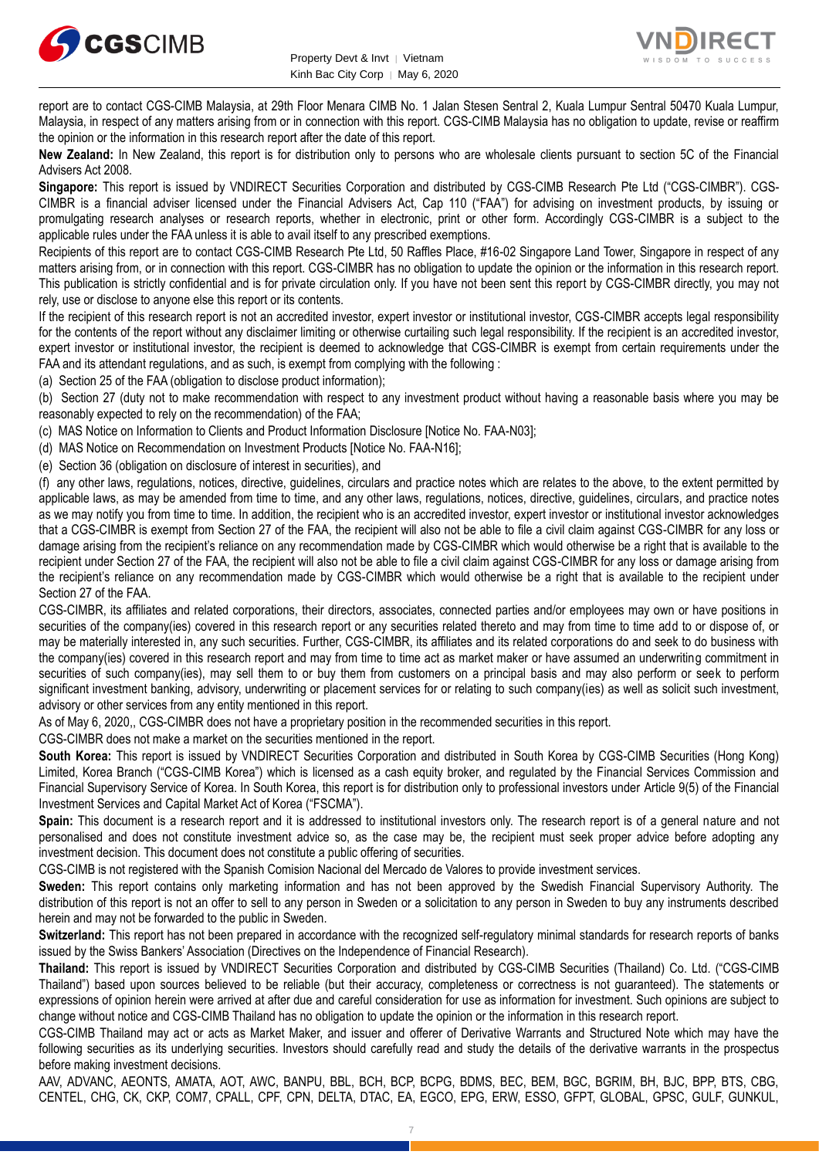



report are to contact CGS-CIMB Malaysia, at 29th Floor Menara CIMB No. 1 Jalan Stesen Sentral 2, Kuala Lumpur Sentral 50470 Kuala Lumpur, Malaysia, in respect of any matters arising from or in connection with this report. CGS-CIMB Malaysia has no obligation to update, revise or reaffirm the opinion or the information in this research report after the date of this report.

**New Zealand:** In New Zealand, this report is for distribution only to persons who are wholesale clients pursuant to section 5C of the Financial Advisers Act 2008.

**Singapore:** This report is issued by VNDIRECT Securities Corporation and distributed by CGS-CIMB Research Pte Ltd ("CGS-CIMBR"). CGS-CIMBR is a financial adviser licensed under the Financial Advisers Act, Cap 110 ("FAA") for advising on investment products, by issuing or promulgating research analyses or research reports, whether in electronic, print or other form. Accordingly CGS-CIMBR is a subject to the applicable rules under the FAA unless it is able to avail itself to any prescribed exemptions.

Recipients of this report are to contact CGS-CIMB Research Pte Ltd, 50 Raffles Place, #16-02 Singapore Land Tower, Singapore in respect of any matters arising from, or in connection with this report. CGS-CIMBR has no obligation to update the opinion or the information in this research report. This publication is strictly confidential and is for private circulation only. If you have not been sent this report by CGS-CIMBR directly, you may not rely, use or disclose to anyone else this report or its contents.

If the recipient of this research report is not an accredited investor, expert investor or institutional investor, CGS-CIMBR accepts legal responsibility for the contents of the report without any disclaimer limiting or otherwise curtailing such legal responsibility. If the recipient is an accredited investor, expert investor or institutional investor, the recipient is deemed to acknowledge that CGS-CIMBR is exempt from certain requirements under the FAA and its attendant regulations, and as such, is exempt from complying with the following :

(a) Section 25 of the FAA (obligation to disclose product information);

(b) Section 27 (duty not to make recommendation with respect to any investment product without having a reasonable basis where you may be reasonably expected to rely on the recommendation) of the FAA;

(c) MAS Notice on Information to Clients and Product Information Disclosure [Notice No. FAA-N03];

(d) MAS Notice on Recommendation on Investment Products [Notice No. FAA-N16];

(e) Section 36 (obligation on disclosure of interest in securities), and

(f) any other laws, regulations, notices, directive, guidelines, circulars and practice notes which are relates to the above, to the extent permitted by applicable laws, as may be amended from time to time, and any other laws, regulations, notices, directive, guidelines, circulars, and practice notes as we may notify you from time to time. In addition, the recipient who is an accredited investor, expert investor or institutional investor acknowledges that a CGS-CIMBR is exempt from Section 27 of the FAA, the recipient will also not be able to file a civil claim against CGS-CIMBR for any loss or damage arising from the recipient's reliance on any recommendation made by CGS-CIMBR which would otherwise be a right that is available to the recipient under Section 27 of the FAA, the recipient will also not be able to file a civil claim against CGS-CIMBR for any loss or damage arising from the recipient's reliance on any recommendation made by CGS-CIMBR which would otherwise be a right that is available to the recipient under Section 27 of the FAA.

CGS-CIMBR, its affiliates and related corporations, their directors, associates, connected parties and/or employees may own or have positions in securities of the company(ies) covered in this research report or any securities related thereto and may from time to time add to or dispose of, or may be materially interested in, any such securities. Further, CGS-CIMBR, its affiliates and its related corporations do and seek to do business with the company(ies) covered in this research report and may from time to time act as market maker or have assumed an underwriting commitment in securities of such company(ies), may sell them to or buy them from customers on a principal basis and may also perform or seek to perform significant investment banking, advisory, underwriting or placement services for or relating to such company(ies) as well as solicit such investment, advisory or other services from any entity mentioned in this report.

As of May 6, 2020,, CGS-CIMBR does not have a proprietary position in the recommended securities in this report.

CGS-CIMBR does not make a market on the securities mentioned in the report.

**South Korea:** This report is issued by VNDIRECT Securities Corporation and distributed in South Korea by CGS-CIMB Securities (Hong Kong) Limited, Korea Branch ("CGS-CIMB Korea") which is licensed as a cash equity broker, and regulated by the Financial Services Commission and Financial Supervisory Service of Korea. In South Korea, this report is for distribution only to professional investors under Article 9(5) of the Financial Investment Services and Capital Market Act of Korea ("FSCMA").

**Spain:** This document is a research report and it is addressed to institutional investors only. The research report is of a general nature and not personalised and does not constitute investment advice so, as the case may be, the recipient must seek proper advice before adopting any investment decision. This document does not constitute a public offering of securities.

CGS-CIMB is not registered with the Spanish Comision Nacional del Mercado de Valores to provide investment services.

**Sweden:** This report contains only marketing information and has not been approved by the Swedish Financial Supervisory Authority. The distribution of this report is not an offer to sell to any person in Sweden or a solicitation to any person in Sweden to buy any instruments described herein and may not be forwarded to the public in Sweden.

**Switzerland:** This report has not been prepared in accordance with the recognized self-regulatory minimal standards for research reports of banks issued by the Swiss Bankers' Association (Directives on the Independence of Financial Research).

**Thailand:** This report is issued by VNDIRECT Securities Corporation and distributed by CGS-CIMB Securities (Thailand) Co. Ltd. ("CGS-CIMB Thailand") based upon sources believed to be reliable (but their accuracy, completeness or correctness is not guaranteed). The statements or expressions of opinion herein were arrived at after due and careful consideration for use as information for investment. Such opinions are subject to change without notice and CGS-CIMB Thailand has no obligation to update the opinion or the information in this research report.

CGS-CIMB Thailand may act or acts as Market Maker, and issuer and offerer of Derivative Warrants and Structured Note which may have the following securities as its underlying securities. Investors should carefully read and study the details of the derivative warrants in the prospectus before making investment decisions.

AAV, ADVANC, AEONTS, AMATA, AOT, AWC, BANPU, BBL, BCH, BCP, BCPG, BDMS, BEC, BEM, BGC, BGRIM, BH, BJC, BPP, BTS, CBG, CENTEL, CHG, CK, CKP, COM7, CPALL, CPF, CPN, DELTA, DTAC, EA, EGCO, EPG, ERW, ESSO, GFPT, GLOBAL, GPSC, GULF, GUNKUL,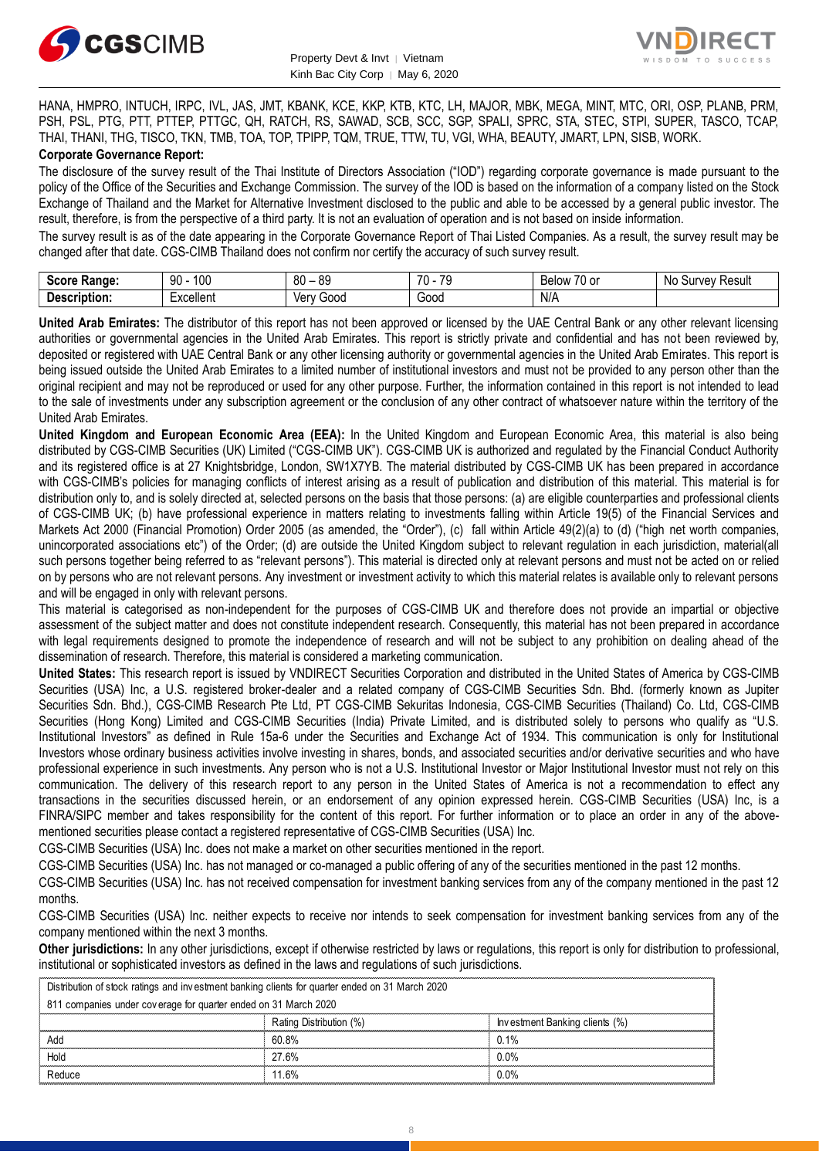



HANA, HMPRO, INTUCH, IRPC, IVL, JAS, JMT, KBANK, KCE, KKP, KTB, KTC, LH, MAJOR, MBK, MEGA, MINT, MTC, ORI, OSP, PLANB, PRM, PSH, PSL, PTG, PTT, PTTEP, PTTGC, QH, RATCH, RS, SAWAD, SCB, SCC, SGP, SPALI, SPRC, STA, STEC, STPI, SUPER, TASCO, TCAP, THAI, THANI, THG, TISCO, TKN, TMB, TOA, TOP, TPIPP, TQM, TRUE, TTW, TU, VGI, WHA, BEAUTY, JMART, LPN, SISB, WORK. **Corporate Governance Report:**

The disclosure of the survey result of the Thai Institute of Directors Association ("IOD") regarding corporate governance is made pursuant to the policy of the Office of the Securities and Exchange Commission. The survey of the IOD is based on the information of a company listed on the Stock Exchange of Thailand and the Market for Alternative Investment disclosed to the public and able to be accessed by a general public investor. The result, therefore, is from the perspective of a third party. It is not an evaluation of operation and is not based on inside information.

The survey result is as of the date appearing in the Corporate Governance Report of Thai Listed Companies. As a result, the survey result may be changed after that date. CGS-CIMB Thailand does not confirm nor certify the accuracy of such survey result.

| <b>Coord</b><br>Range: | 100<br>o٥<br>IJΜ      | or<br>80<br>יר.<br>$\overline{\phantom{a}}$ | 70<br>$\overline{\phantom{a}}$<br>$\cdot$ | $\sim$ $\sim$<br>Relow<br>. U or | Result<br>٬۱۵۱٬<br>NIC<br>u<br> |
|------------------------|-----------------------|---------------------------------------------|-------------------------------------------|----------------------------------|---------------------------------|
| Description:           | .voollon<br>∠xcelle∏t | 000خ<br>۷er<br>rv.<br>יש                    | -<br>Good                                 | N/A                              |                                 |

**United Arab Emirates:** The distributor of this report has not been approved or licensed by the UAE Central Bank or any other relevant licensing authorities or governmental agencies in the United Arab Emirates. This report is strictly private and confidential and has not been reviewed by, deposited or registered with UAE Central Bank or any other licensing authority or governmental agencies in the United Arab Emirates. This report is being issued outside the United Arab Emirates to a limited number of institutional investors and must not be provided to any person other than the original recipient and may not be reproduced or used for any other purpose. Further, the information contained in this report is not intended to lead to the sale of investments under any subscription agreement or the conclusion of any other contract of whatsoever nature within the territory of the United Arab Emirates.

**United Kingdom and European Economic Area (EEA):** In the United Kingdom and European Economic Area, this material is also being distributed by CGS-CIMB Securities (UK) Limited ("CGS-CIMB UK"). CGS-CIMB UK is authorized and regulated by the Financial Conduct Authority and its registered office is at 27 Knightsbridge, London, SW1X7YB. The material distributed by CGS-CIMB UK has been prepared in accordance with CGS-CIMB's policies for managing conflicts of interest arising as a result of publication and distribution of this material. This material is for distribution only to, and is solely directed at, selected persons on the basis that those persons: (a) are eligible counterparties and professional clients of CGS-CIMB UK; (b) have professional experience in matters relating to investments falling within Article 19(5) of the Financial Services and Markets Act 2000 (Financial Promotion) Order 2005 (as amended, the "Order"), (c) fall within Article 49(2)(a) to (d) ("high net worth companies, unincorporated associations etc") of the Order; (d) are outside the United Kingdom subject to relevant regulation in each jurisdiction, material(all such persons together being referred to as "relevant persons"). This material is directed only at relevant persons and must not be acted on or relied on by persons who are not relevant persons. Any investment or investment activity to which this material relates is available only to relevant persons and will be engaged in only with relevant persons.

This material is categorised as non-independent for the purposes of CGS-CIMB UK and therefore does not provide an impartial or objective assessment of the subject matter and does not constitute independent research. Consequently, this material has not been prepared in accordance with legal requirements designed to promote the independence of research and will not be subject to any prohibition on dealing ahead of the dissemination of research. Therefore, this material is considered a marketing communication.

**United States:** This research report is issued by VNDIRECT Securities Corporation and distributed in the United States of America by CGS-CIMB Securities (USA) Inc, a U.S. registered broker-dealer and a related company of CGS-CIMB Securities Sdn. Bhd. (formerly known as Jupiter Securities Sdn. Bhd.), CGS-CIMB Research Pte Ltd, PT CGS-CIMB Sekuritas Indonesia, CGS-CIMB Securities (Thailand) Co. Ltd, CGS-CIMB Securities (Hong Kong) Limited and CGS-CIMB Securities (India) Private Limited, and is distributed solely to persons who qualify as "U.S. Institutional Investors" as defined in Rule 15a-6 under the Securities and Exchange Act of 1934. This communication is only for Institutional Investors whose ordinary business activities involve investing in shares, bonds, and associated securities and/or derivative securities and who have professional experience in such investments. Any person who is not a U.S. Institutional Investor or Major Institutional Investor must not rely on this communication. The delivery of this research report to any person in the United States of America is not a recommendation to effect any transactions in the securities discussed herein, or an endorsement of any opinion expressed herein. CGS-CIMB Securities (USA) Inc, is a FINRA/SIPC member and takes responsibility for the content of this report. For further information or to place an order in any of the abovementioned securities please contact a registered representative of CGS-CIMB Securities (USA) Inc.

CGS-CIMB Securities (USA) Inc. does not make a market on other securities mentioned in the report.

CGS-CIMB Securities (USA) Inc. has not managed or co-managed a public offering of any of the securities mentioned in the past 12 months.

CGS-CIMB Securities (USA) Inc. has not received compensation for investment banking services from any of the company mentioned in the past 12 months.

CGS-CIMB Securities (USA) Inc. neither expects to receive nor intends to seek compensation for investment banking services from any of the company mentioned within the next 3 months.

**Other jurisdictions:** In any other jurisdictions, except if otherwise restricted by laws or regulations, this report is only for distribution to professional, institutional or sophisticated investors as defined in the laws and regulations of such jurisdictions. being the purisdictions: In any other jurisdictions, except if otherwise restricted by langulational or sophisticated investors as defined in the laws and regulations of surfactional or sophisticated investment banking cli

| institutional or sophisticated investors as defined in the laws and regulations of such jurisdictions. | <b>Other jurisdictions:</b> In any other jurisdictions, except if otherwise restricted by laws or regulations, this report is only for distribution to |                                |  |  |  |
|--------------------------------------------------------------------------------------------------------|--------------------------------------------------------------------------------------------------------------------------------------------------------|--------------------------------|--|--|--|
| Distribution of stock ratings and investment banking clients for quarter ended on 31 March 2020        |                                                                                                                                                        |                                |  |  |  |
| 811 companies under coverage for quarter ended on 31 March 2020                                        |                                                                                                                                                        |                                |  |  |  |
|                                                                                                        | Rating Distribution (%)                                                                                                                                | Investment Banking clients (%) |  |  |  |
| Add                                                                                                    | 60.8%                                                                                                                                                  | 0.1%                           |  |  |  |
| Hold                                                                                                   | 27 6%                                                                                                                                                  | $0.0\%$                        |  |  |  |
| Reduce                                                                                                 | 11.6%                                                                                                                                                  | $0.0\%$                        |  |  |  |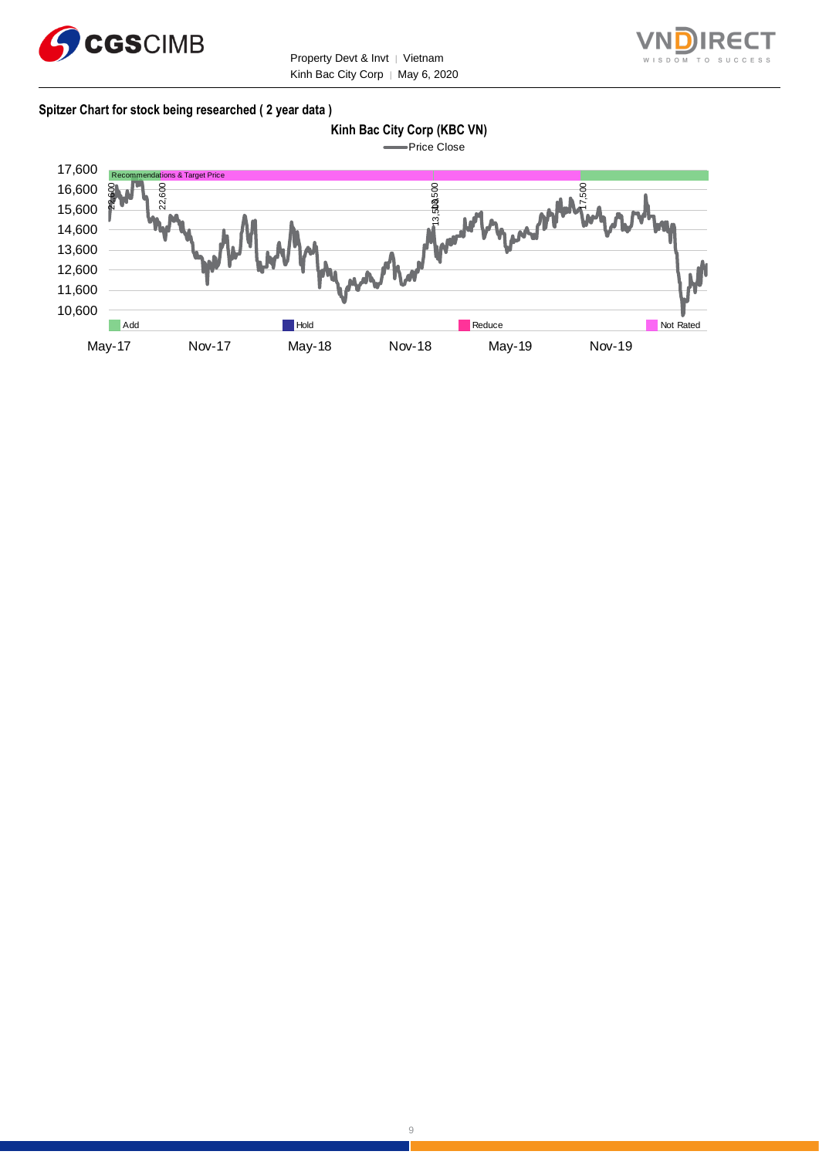

Property Devt & Invt | Vietnam Kinh Bac City Corp | May 6, 2020



### **Spitzer Chart for stock being researched ( 2 year data )**

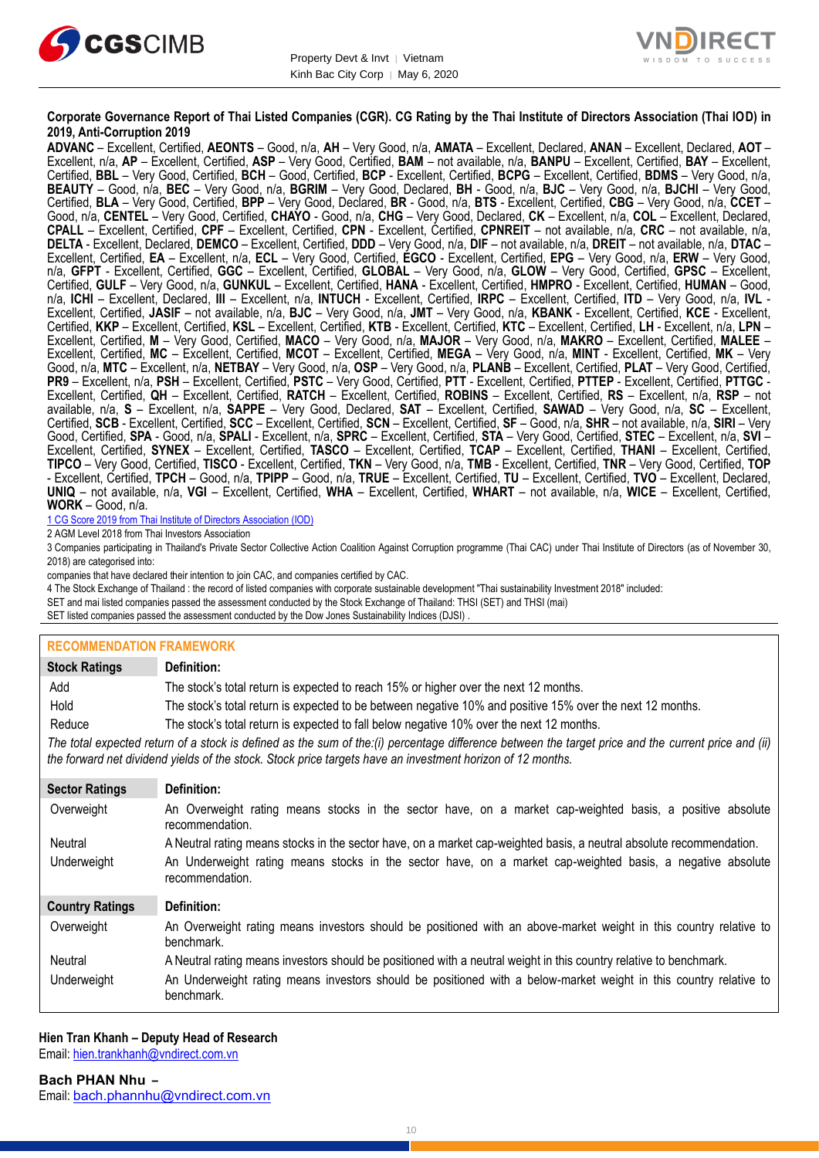



### **Corporate Governance Report of Thai Listed Companies (CGR). CG Rating by the Thai Institute of Directors Association (Thai IOD) in 2019, Anti-Corruption 2019**

**ADVANC** – Excellent, Certified, **AEONTS** – Good, n/a, **AH** – Very Good, n/a, **AMATA** – Excellent, Declared, **ANAN** – Excellent, Declared, **AOT** – Excellent, n/a, **AP** – Excellent, Certified, **ASP** – Very Good, Certified, **BAM** – not available, n/a, **BANPU** – Excellent, Certified, **BAY** – Excellent, Certified, **BBL** – Very Good, Certified, **BCH** – Good, Certified, **BCP** - Excellent, Certified, **BCPG** – Excellent, Certified, **BDMS** – Very Good, n/a, **BEAUTY** – Good, n/a, **BEC** – Very Good, n/a, **BGRIM** – Very Good, Declared, **BH** - Good, n/a, **BJC** – Very Good, n/a, **BJCHI** – Very Good, Certified, **BLA** – Very Good, Certified, **BPP** – Very Good, Declared, **BR** - Good, n/a, **BTS** - Excellent, Certified, **CBG** – Very Good, n/a, **CCET** – Good, n/a, **CENTEL** – Very Good, Certified, **CHAYO** - Good, n/a, **CHG** – Very Good, Declared, **CK** – Excellent, n/a, **COL** – Excellent, Declared, **CPALL** – Excellent, Certified, **CPF** – Excellent, Certified, **CPN** - Excellent, Certified, **CPNREIT** – not available, n/a, **CRC** – not available, n/a, **DELTA** - Excellent, Declared, **DEMCO** – Excellent, Certified, **DDD** – Very Good, n/a, **DIF** – not available, n/a, **DREIT** – not available, n/a, **DTAC** – Excellent, Certified, **EA** – Excellent, n/a, **ECL** – Very Good, Certified, **EGCO** - Excellent, Certified, **EPG** – Very Good, n/a, **ERW** – Very Good, n/a, **GFPT** - Excellent, Certified, **GGC** – Excellent, Certified, **GLOBAL** – Very Good, n/a, **GLOW** – Very Good, Certified, **GPSC** – Excellent, Certified, **GULF** – Very Good, n/a, **GUNKUL** – Excellent, Certified, **HANA** - Excellent, Certified, **HMPRO** - Excellent, Certified, **HUMAN** – Good, n/a, **ICHI** – Excellent, Declared, **III** – Excellent, n/a, **INTUCH** - Excellent, Certified, **IRPC** – Excellent, Certified, **ITD** – Very Good, n/a, **IVL** - Excellent, Certified, **JASIF** – not available, n/a, **BJC** – Very Good, n/a, **JMT** – Very Good, n/a, **KBANK** - Excellent, Certified, **KCE** - Excellent, Certified, **KKP** – Excellent, Certified, **KSL** – Excellent, Certified, **KTB** - Excellent, Certified, **KTC** – Excellent, Certified, **LH** - Excellent, n/a, **LPN** – Excellent, Certified, **M** – Very Good, Certified, **MACO** – Very Good, n/a, **MAJOR** – Very Good, n/a, **MAKRO** – Excellent, Certified, **MALEE** – Excellent, Certified, **MC** – Excellent, Certified, **MCOT** – Excellent, Certified, **MEGA** – Very Good, n/a, **MINT** - Excellent, Certified, **MK** – Very Good, n/a, **MTC** – Excellent, n/a, **NETBAY** – Very Good, n/a, **OSP** – Very Good, n/a, **PLANB** – Excellent, Certified, **PLAT** – Very Good, Certified, **PR9** – Excellent, n/a, **PSH** – Excellent, Certified, **PSTC** – Very Good, Certified, **PTT** - Excellent, Certified, **PTTEP** - Excellent, Certified, **PTTGC** - Excellent, Certified, **QH** – Excellent, Certified, **RATCH** – Excellent, Certified, **ROBINS** – Excellent, Certified, **RS** – Excellent, n/a, **RSP** – not available, n/a, **S** – Excellent, n/a, **SAPPE** – Very Good, Declared, **SAT** – Excellent, Certified, **SAWAD** – Very Good, n/a, **SC** – Excellent, Certified, **SCB** - Excellent, Certified, **SCC** – Excellent, Certified, **SCN** – Excellent, Certified, **SF** – Good, n/a, **SHR** – not available, n/a, **SIRI** – Very Good, Certified, **SPA** - Good, n/a, **SPALI** - Excellent, n/a, **SPRC** – Excellent, Certified, **STA** – Very Good, Certified, **STEC** – Excellent, n/a, **SVI** – Excellent, Certified, **SYNEX** – Excellent, Certified, **TASCO** – Excellent, Certified, **TCAP** – Excellent, Certified, **THANI** – Excellent, Certified, **TIPCO** – Very Good, Certified, **TISCO** - Excellent, Certified, **TKN** – Very Good, n/a, **TMB** - Excellent, Certified, **TNR** – Very Good, Certified, **TOP** - Excellent, Certified, **TPCH** – Good, n/a, **TPIPP** – Good, n/a, **TRUE** – Excellent, Certified, **TU** – Excellent, Certified, **TVO** – Excellent, Declared, **UNIQ** – not available, n/a, **VGI** – Excellent, Certified, **WHA** – Excellent, Certified, **WHART** – not available, n/a, **WICE** – Excellent, Certified, **WORK** – Good, n/a.

1 CG Score 2019 from Thai Institute of Directors Association (IOD)

2 AGM Level 2018 from Thai Investors Association

3 Companies participating in Thailand's Private Sector Collective Action Coalition Against Corruption programme (Thai CAC) under Thai Institute of Directors (as of November 30, 2018) are categorised into:

companies that have declared their intention to join CAC, and companies certified by CAC.

4 [The Stock Exchange of Thailand : the record of listed companies with corporate sustainable development "Thai sustainability Investment 2018" included:](http://www.set.or.th/sustainable_dev/en/sr/sri/tsi_p1.html)

SET and mai listed companies passed the assessment conducted by the Stock Exchange of Thailand: THSI (SET) and THSI (mai)

SET listed companies passed the assessment conducted by the Dow Jones Sustainability Indices (DJSI)

### **RECOMMENDATION FRAMEWORK**

| <b>Stock Ratings</b>                                                                                                                                                                                                                                              | Definition:                                                                                                                     |  |  |  |  |
|-------------------------------------------------------------------------------------------------------------------------------------------------------------------------------------------------------------------------------------------------------------------|---------------------------------------------------------------------------------------------------------------------------------|--|--|--|--|
| Add                                                                                                                                                                                                                                                               | The stock's total return is expected to reach 15% or higher over the next 12 months.                                            |  |  |  |  |
| Hold                                                                                                                                                                                                                                                              | The stock's total return is expected to be between negative 10% and positive 15% over the next 12 months.                       |  |  |  |  |
| Reduce                                                                                                                                                                                                                                                            | The stock's total return is expected to fall below negative 10% over the next 12 months.                                        |  |  |  |  |
| The total expected return of a stock is defined as the sum of the:(i) percentage difference between the target price and the current price and (ii)<br>the forward net dividend yields of the stock. Stock price targets have an investment horizon of 12 months. |                                                                                                                                 |  |  |  |  |
| <b>Sector Ratings</b>                                                                                                                                                                                                                                             | Definition:                                                                                                                     |  |  |  |  |
| Overweight                                                                                                                                                                                                                                                        | An Overweight rating means stocks in the sector have, on a market cap-weighted basis, a positive absolute<br>recommendation.    |  |  |  |  |
| Neutral                                                                                                                                                                                                                                                           | A Neutral rating means stocks in the sector have, on a market cap-weighted basis, a neutral absolute recommendation.            |  |  |  |  |
| Underweight                                                                                                                                                                                                                                                       | An Underweight rating means stocks in the sector have, on a market cap-weighted basis, a negative absolute<br>recommendation.   |  |  |  |  |
| <b>Country Ratings</b>                                                                                                                                                                                                                                            | Definition:                                                                                                                     |  |  |  |  |
| Overweight                                                                                                                                                                                                                                                        | An Overweight rating means investors should be positioned with an above-market weight in this country relative to<br>benchmark. |  |  |  |  |
| Neutral                                                                                                                                                                                                                                                           | A Neutral rating means investors should be positioned with a neutral weight in this country relative to benchmark.              |  |  |  |  |
| Underweight                                                                                                                                                                                                                                                       | An Underweight rating means investors should be positioned with a below-market weight in this country relative to<br>benchmark. |  |  |  |  |

### **Hien Tran Khanh – Deputy Head of Research** Email: [hien.trankhanh@vndirect.com.vn](mailto:hien.trankhanh@vndirect.com.vn)

**Bach PHAN Nhu –** Email: [bach.phannhu@vndirect.com.vn](mailto:bach.phannhu@vndirect.com.vn)